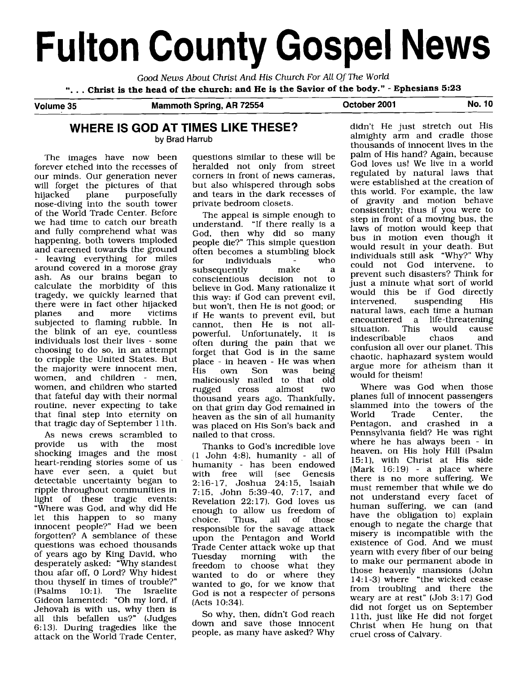# **Fulton County Gospel News**

Good News About Christ And His Church For All Of The World ". . . **Christ is the head of the church: and He is the Savior of the body."** - **Ephesians 5:23** 

**Volume 35 Mammoth Spring, AR 72554 October 2001 No. 10** 

## **WHERE IS GOD AT TIMES LIKE THESE?**

by Brad Harrub

The images have now been forever etched into the recesses of our minds. Our generation never will forget the pictures of that<br>hijacked plane purposefully purposefully nose-diving into the south tower of the World Trade Center. Before we had time to catch our breath and fully comprehend what was happening, both towers imploded and careened towards the ground leaving everything for miles around covered in a morose gray ash. As our brains began to calculate the morbidity of this tragedy, we quickly learned that there were in fact other hijacked<br>planes and more victims planes **b** subjected to flaming rubble. In the blink of an eye, countless individuals lost their lives - some choosing to do so, in an attempt to cripple the United States. But the majority were innocent men, women, and children - men. women, and children who started that fateful day with their normal routine, never expecting to take that final step into eternity on that tragic day of September 11th.

As news crews scrambled to<br>provide us with the most us with the shocking images and the most heart-rending stories some of us have ever seen, a quiet but detectable uncertainty began to ripple throughout communities in light of these tragic events: "Where was God, and why did He let this happen to so many innocent people?" Had we been forgotten? A semblance of these questions was echoed thousands of years ago by King David, who desperately asked: "Why standest thou afar off, 0 Lord? Why hidest thou thyself in times of trouble?"<br>(Psalms 10:1). The Israelite  $(Psalms 10:1)$ . The Israelite Gideon lamented: "Oh my lord, if Jehovah is with us, why then is all this befallen us?" (Judges 6:13). During tragedies like the attack on the World Trade Center,

questions similar to these will be heralded not only from street corners in front of news cameras, but also whispered through sobs and tears in the dark recesses of private bedroom closets.

The appeal is simple enough to understand. "If there really is a God, then why did so many people die?" This simple question often becomes a stumbling block<br>for individuals - who for individuals - who<br>subsequently make a subsequently conscientious decision not to believe in God. Many rationalize it this way: if God can prevent evil, but won't, then He is not good; or if He wants to prevent evil, but cannot, then He is not allpowerful. Unfortunately, it is often during the pain that we forget that God is in the same place - in heaven - He was when<br>His own Son was being His own Son was being maliciously nailed to that old<br>rugged cross almost two rugged cross almost thousand years ago. Thankfully, on that grim day God remained in heaven as the sin of all humanity was placed on His Son's back and nailed to that cross.

Thanks to God's incredible love  $(1$  John 4:8), humanity - all of humanity - has been endowed<br>with free will (see Genesis (see Genesis 2: 16-17, Joshua 24: 15, Isaiah 7:15, John 5:39-40, 7:17, and Revelation 22:17). God loves us enough to allow us freedom of choice. Thus, all of those responsible for the savage attack upon the Pentagon and World Trade Center attack woke up that<br>Tuesday morning with the morning freedom to choose what they wanted to do or where they wanted to go, for we know that God is not a respecter of persons (Acts 10:34).

So why, then, didn't God reach down and save those innocent people, as many have asked? Why

didn't He just stretch out His almighty arm and cradle those thousands of innocent lives in the palm of His hand? Again, because God loves us! We live in a world regulated by natural laws that were established at the creation of this world. For example, the law of gravity and motion behave consistently; thus if you were to step in front of a moving bus, the laws of motion would keep that bus in motion even though it would result in your death. But individuals still ask "Why?" Why could not God intervene, to prevent such disasters? Think for just a minute what sort of world would this be if God directly<br>intervened, suspending His suspending natural laws, each time a human encountered a life-threatening<br>situation. This would cause situation. This would cause<br>indescribable chaos and indescribable confusion all over our planet. This chaotic, haphazard system would argue more for atheism than it would for theism!

Where was God when those planes full of innocent passengers slammed into the towers of the<br>World Trade Center, the World Trade Center, the Pentagon, and crashed in a Pennsylvania field? He was right where he has always been - in heaven, on His holy Hill (Psalm 15:1), with Christ at His side  $(Mark 16:19)$  - a place where there is no more suffering. We must remember that while we do not understand every facet of human suffering, we can (and have the obligation to) explain enough to negate the charge that misery is incompatible with the existence of God. And we must yearn with every fiber of our being to make our permanent abode in those heavenly mansions (John 14: 1-3) where "the wicked cease from troubling and there the weary are at rest" [Job 3: 17) God did not forget us on September 1 lth, just like He did not forget Christ when He hung on that cruel cross of Calvary.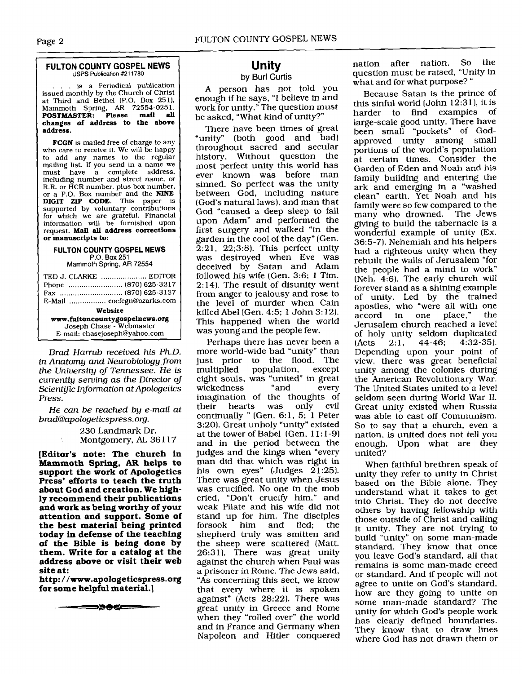#### **FULTON COUNTY GOSPEL NEWS USPS Publication #211780**

.. is a Periodical publication issued monthly by the Church of Christ at Third and Bethel (P.O. Box 251), Mammoth Spring, **AR** 72554-025 1. **POSTMASTER: Please mail all changes of address to the above** <sup>1</sup>**address.** 

**FCGN** is mailed free of charge to any who care to receive it. We will be happy to add any names to the regular mailing list. If you send in a name we must have a complete address, including number and street name, or R.R. or HCR number, plus box number, or a P.O. Box number and the **NINE DIGIT ZIP CODE.** This paper is supported by voluntary contributions for which we are grateful. Financial information will be furnished upon request. **Mail all address corrections or manuscripts to:** 

#### **FULTON COUNTY GOSPEL NEWS**  P.O. **Box** 251

Mammoth **Spring, AR 72554** 

| TED J. CLARKE  EDITOR          |  |  |
|--------------------------------|--|--|
|                                |  |  |
|                                |  |  |
| E-Mail  cocfcgn@ozarks.com     |  |  |
| Website                        |  |  |
| www.fultoncountygospelnews.org |  |  |
| Joseph Chase - Webmaster       |  |  |
| E-mail: chasejoseph@yahoo.com  |  |  |

Brad Harrub received his Ph.D. in Anatomy and Neurobiology from the University of Tennessee. He is currently serving as the Director of Scientific Information at Apologetics Press.

He can be reached by e-mail at<br>brad@apologeticspress.org.

230 Landmark Dr. Montgomery, **AL** 36 1 17

**[Editor's note: The church in Mammoth Spring, AR helps to support the work of Apologetics Press' efforts to teach the truth about God and creation. We highly recommend their publications and work as being worthy of your attention and support. Some of the best material being printed today in defense of the teaching of the Bible is being done by them. Write for a catalog at the address above or visit their web site at:** 

**http:** / **/www.apologeticspress.org for some helpful material.]** 

━━⋑⋑⋪⋖⋿

## **Unity**

## **by** Burl **Curtis**

A person has not told you enough if he says, "I believe in and work for unity." The question must be asked, "What kind of unity?"

There have been times of great "unity" (both good and bad) throughout sacred and secular history. Without question the most perfect unity this world has ever known was before man sinned. So perfect was the unity between God, including nature (God's natural laws), and man that God "caused a deep sleep to fall upon Adam" and performed the first surgery and walked "in the garden in the cool of the day" (Gen.  $2:21$ ,  $22:3:8$ ). This perfect unity was destroyed when Eve was deceived by Satan and Adam followed his wife (Gen. 3:6; 1 Tim. 2:14). The result of disunity went from anger to jealousy and rose to the level of murder when Cain killed Abel (Gen. 4:5; 1 John 3: 12). This happened when the world was young and the people few.

Perhaps there has never been a more world-wide bad "unity" than just prior to the flood. The<br>multiplied population, except population, eight souls, was "united" in great wickedness imagination of the thoughts of their hearts was only continually " (Gen. 6:1, 5; 1 Peter 3:20). Great unholy "unity" existed at the tower of Babel (Gen. 11:1-9) and in the period between the judges and the kings when "every man did that which was right in his own eyes" (Judges  $21:25$ ). There was great unity when Jesus was crucified. No one in the mob cried, "Don't crucify him," and weak Pilate and his wife did not stand up for him. The disciples<br>forsook him and fled; the forsook shepherd truly was smitten and the sheep were scattered (Matt. 26:31). There was great unity against the church when Paul was a prisoner in Rome. The Jews said, "As concerning this sect, we know that every where it is spoken against" (Acts 28:22). There was great unity in Greece and Rome when they "rolled over" the world and in France and Germany when Napoleon and Hitler conquered nation after nation. So the question must be raised, "Unity in what and for what purpose? "

Because Satan is the prince of this sinful world (John  $12:31$ ), it is harder to find examples of large-scale good unity. There have been small "pockets" of Godapproved unity among small portions of the world's population at certain times. Consider the Garden of Eden and Noah and his family building and entering the ark and emerging in a "washed clean" earth. Yet Noah and his family were so few compared to the many who drowned. The Jews giving to build the tabernacle is a wonderful example of unity (Ex. 36:5-7). Nehemiah and his helpers had a righteous unity when they rebuilt the walls of Jerusalem "for the people had a mind to work" (Neh. 4:6). The early church will forever stand as a shining example of unity. Led by the trained apostles, who "were all with one<br>accord in one place." the accord in one place," Jerusalem church reached a level of holy unity seldom duplicated<br>(Acts  $2:1$ ,  $44-46$ ;  $4:32-35$ ).  $(4:32-35)$ . Depending upon your point of view, there was great beneficial unity among the colonies during the American Revolutionary War. The United States united to a level seldom seen during World War 11. Great unity existed when Russia was able to cast off Communism. So to say that a church, even a nation, is united does not tell you enough. Upon what are they united?

When faithful brethren speak of unity they refer to unity in Christ based on the Bible alone. They understand what it takes to get into Christ. They do not deceive others by having fellowship with those outside of Christ and calling it unity. They are not trying to build "unity" on some man-made standard. They know that once you leave God's standard, all that remains is some man-made creed or standard. And if people will not agree to unite on God's standard, how are they going to unite on some man-made standard? The unity for which God's people work has clearly defined boundaries. They know that to draw lines where God has not drawn them or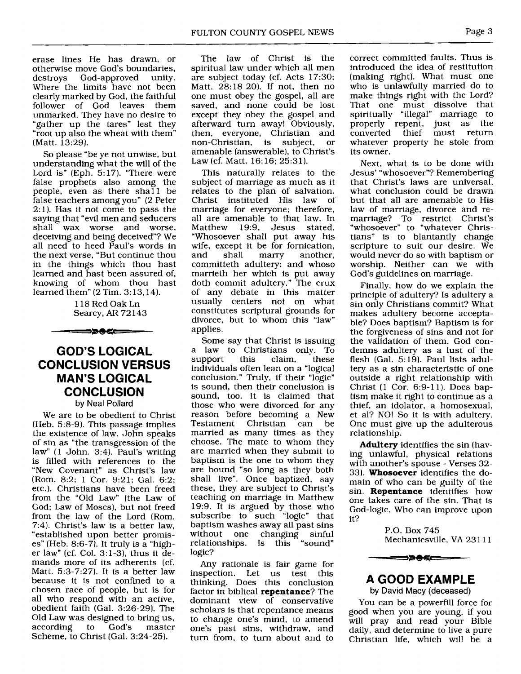erase lines He has drawn, or otherwise move God's boundaries,<br>destroys God-approved unity. God-approved Where the limits have not been clearly marked by God, the faithful follower of God leaves them unmarked. They have no desire to "gather up the tares" lest they "root up also the wheat with them" (Matt. 13:29).

So please "be ye not unwise, but understanding what the will of the Lord is" (Eph. 5:17). "There were false prophets also among the people, even as there shall be false teachers among you" (2 Peter  $2:1$ ). Has it not come to pass the saying that "evil men and seducers shall wax worse and worse, deceiving and being deceived"? We all need to heed Paul's words in the next verse, "But continue thou in the things which thou hast learned and hast been assured of, knowing of whom thou hast learned them" (2 Tim. 3: 13,14).

> 1 18 Red Oak Ln Searcy, AR 72 143

## **GOD'S LOGICAL CONCLUSION VERSUS MAN'S LOGICAL CONCLUSION**  by Neal Pollard

━━≽●≤⊂━━

We are to be obedient to Christ (Heb. 5:8-9). This passage implies the existence of law. John speaks of sin as "the transgression of the law" (1 John. 3:4). Paul's writing is filled with references to the "New Covenant" as Christ's law (Rom. 8:2; 1 Cor. 9:21; Gal. 6:2; etc.). Christians have been freed from the "Old Law" (the Law of God; Law of Moses), but not freed from the law of the Lord (Rom. 7:4). Christ's law is a better law, "established upon better promises" (Heb. 8:6-7). It truly is a "higher law" (cf. Col. 3:1-3), thus it demands more of its adherents (cf. Matt. 5:3-7:27). It is a better law because it is not confined to a chosen race of people, but is for all who respond with an active, obedient faith (Gal. 3:26-29). The Old Law was designed to bring us, according to God's master Scheme, to Christ (Gal. 3:24-25).

The law of Christ is the spiritual law under which all men are subject today (cf. Acts 17:30; Matt. 28:18-20). If not, then no one must obey the gospel, all are saved, and none could be lost except they obey the gospel and afterward turn away! Obviously, then, everyone, Christian and non-Christian, is subject, or amenable (answerable), to Christ's Law (cf. Matt. 16:16; 25:31).

This naturally relates to the subject of marriage as much as it relates to the plan of salvation. Christ instituted His law of marriage for everyone; therefore, all are amenable to that law. In<br>Matthew 19:9. Jesus stated. Matthew 19:9, Jesus "Whosoever shall put away his wife, except it be for fornication,<br>and shall marry another, another. committeth adultery: and whoso marrieth her which is put away doth commit adultery." The crux of any debate in this matter usually centers not on what constitutes scriptural grounds for divorce, but to whom this "law" applies.

Some say that Christ is issuing a law to Christians only. To<br>support this claim, these support this claim, these individuals often lean on a "logical conclusion." Truly, if their "logic" is sound, then their conclusion is sound, too. It is claimed that those who were divorced for any reason before becoming a New<br>Testament Christian can be Testament Christian married as many times as they choose. The mate to whom they are married when they submit to baptism is the one to whom they are bound "so long as they both shall live". Once baptized, say these, they are subject to Christ's teaching on marriage in Matthew 19:9. It is argued by those who subscribe to such "logic" that baptism washes away all past sins without one changing sinful relationships. Is this "sound" logic?

Any rationale is fair game for inspection. Let us test this thinking. Does this conclusion factor in biblical repentance? The dominant view of conservative scholars is that repentance means to change one's mind, to amend one's past sins, withdraw, and turn from, to turn about and to correct committed faults. Thus is introduced the idea of restitution (making right). What must one who is unlawfully married do to make things right with the Lord? That one must dissolve that spiritually "illegal" marriage to properly repent, just as the converted thief must return whatever property he stole from its owner.

Next, what is to be done with Jesus' "whosoever"? Remembering that Christ's laws are universal, what conclusion could be drawn but that all are amenable to His law of marriage, divorce and remarriage? To restrict Christ's "whosoever" to "whatever Christians" is to blantantly change scripture to suit our desire. We would never do so with baptism or worship. Neither can we with God's guidelines on marriage.

Finally, how do we explain the principle of adultery? Is adultery a sin only Christians commit? What makes adultery become acceptable? Does baptism? Baptism is for the forgiveness of sins and not for the validation of them. God condemns adultery as a lust of the flesh (Gal. 5:19). Paul lists adultery as a sin characteristic of one outside a right relationship with Christ (1 Cor. 6:9-11). Does baptism make it right to continue as a thief, an idolator, a homosexual, et al? NO! So it is with adultery. One must give up the adulterous relationship.

Adultery identifies the sin (having unlawful, physical relations with another's spouse - Verses 32- 33). Whosoever identifies the domain of who can be guilty of the sin. Repentance identifies how one takes care of the sin. That is God-logic. Who can improve upon it?

> P.O. Box 745 Mechanicsville, VA 23111



## **A GOOD EXAMPLE**

by David Macy (deceased)

You can be a powerfill force for good when you are young, if you will pray and read your Bible daily, and determine to live a pure Christian life, which will be a